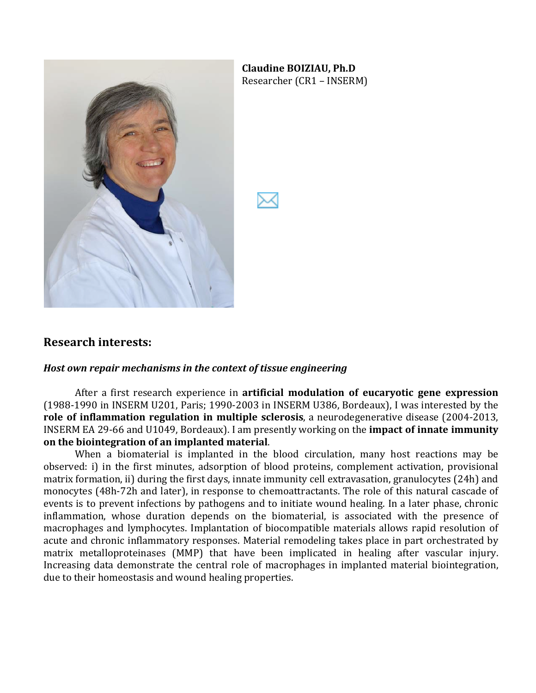

**Claudine BOIZIAU, Ph.D** Researcher (CR1 – INSERM)

### **Research)interests:**

#### *Host own repair mechanisms in the context of tissue engineering*

After a first research experience in **artificial modulation of eucaryotic gene expression** (1988-1990 in INSERM U201, Paris; 1990-2003 in INSERM U386, Bordeaux), I was interested by the **role of inflammation regulation in multiple sclerosis**, a neurodegenerative disease (2004-2013, INSERM EA 29-66 and U1049, Bordeaux). I am presently working on the **impact of innate immunity on)the)biointegration)of)an)implanted)material**.

When a biomaterial is implanted in the blood circulation, many host reactions may be observed: i) in the first minutes, adsorption of blood proteins, complement activation, provisional matrix formation, ii) during the first days, innate immunity cell extravasation, granulocytes (24h) and monocytes (48h-72h and later), in response to chemoattractants. The role of this natural cascade of events is to prevent infections by pathogens and to initiate wound healing. In a later phase, chronic inflammation, whose duration depends on the biomaterial, is associated with the presence of macrophages and lymphocytes. Implantation of biocompatible materials allows rapid resolution of acute and chronic inflammatory responses. Material remodeling takes place in part orchestrated by matrix metalloproteinases (MMP) that have been implicated in healing after vascular injury. Increasing data demonstrate the central role of macrophages in implanted material biointegration, due to their homeostasis and wound healing properties.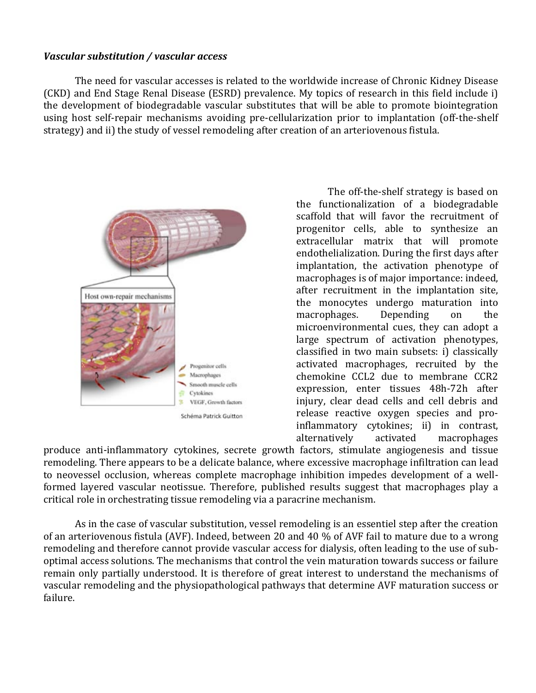#### *Vascular substitution / vascular access*

The need for vascular accesses is related to the worldwide increase of Chronic Kidney Disease (CKD) and End Stage Renal Disease (ESRD) prevalence. My topics of research in this field include i) the development of biodegradable vascular substitutes that will be able to promote biointegration using host self-repair mechanisms avoiding pre-cellularization prior to implantation (off-the-shelf strategy) and ii) the study of vessel remodeling after creation of an arteriovenous fistula.



The off-the-shelf strategy is based on the functionalization of a biodegradable scaffold that will favor the recruitment of progenitor cells, able to synthesize an extracellular matrix that will promote endothelialization. During the first days after implantation, the activation phenotype of macrophages is of major importance: indeed, after recruitment in the implantation site, the monocytes undergo maturation into macrophages. Depending on the microenvironmental cues, they can adopt a large spectrum of activation phenotypes, classified in two main subsets: i) classically activated macrophages, recruited by the chemokine CCL2 due to membrane CCR2 expression, enter tissues 48h-72h after injury, clear dead cells and cell debris and release reactive oxygen species and proinflammatory cytokines; ii) in contrast, alternatively activated macrophages

produce anti-inflammatory cytokines, secrete growth factors, stimulate angiogenesis and tissue remodeling. There appears to be a delicate balance, where excessive macrophage infiltration can lead to neovessel occlusion, whereas complete macrophage inhibition impedes development of a wellformed layered vascular neotissue. Therefore, published results suggest that macrophages play a critical role in orchestrating tissue remodeling via a paracrine mechanism.

As in the case of vascular substitution, vessel remodeling is an essentiel step after the creation of an arteriovenous fistula (AVF). Indeed, between 20 and 40 % of AVF fail to mature due to a wrong remodeling and therefore cannot provide vascular access for dialysis, often leading to the use of suboptimal access solutions. The mechanisms that control the vein maturation towards success or failure remain only partially understood. It is therefore of great interest to understand the mechanisms of vascular remodeling and the physiopathological pathways that determine AVF maturation success or failure.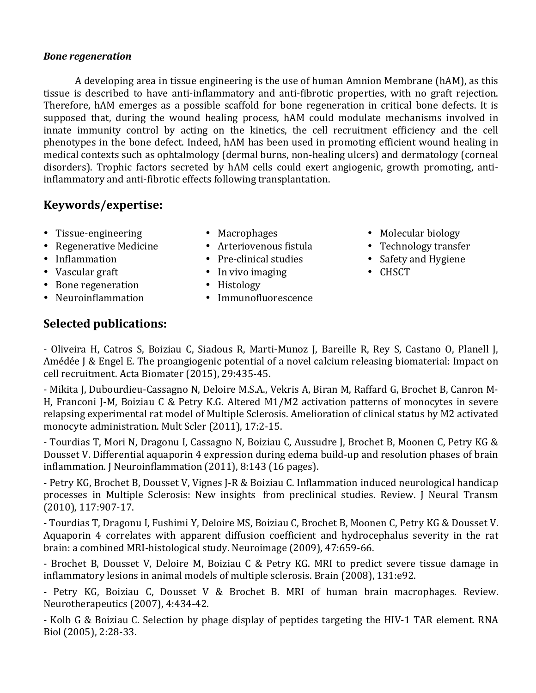### **Bone regeneration**

A developing area in tissue engineering is the use of human Amnion Membrane (hAM), as this tissue is described to have anti-inflammatory and anti-fibrotic properties, with no graft rejection. Therefore, hAM emerges as a possible scaffold for bone regeneration in critical bone defects. It is supposed that, during the wound healing process, hAM could modulate mechanisms involved in innate immunity control by acting on the kinetics, the cell recruitment efficiency and the cell phenotypes in the bone defect. Indeed, hAM has been used in promoting efficient wound healing in medical contexts such as ophtalmology (dermal burns, non-healing ulcers) and dermatology (corneal disorders). Trophic factors secreted by hAM cells could exert angiogenic, growth promoting, antiinflammatory and anti-fibrotic effects following transplantation.

# Keywords/expertise:

- Tissue-engineering
- Regenerative Medicine
- Inflammation
- Vascular graft
- Bone regeneration
- Neuroinflammation
- Macrophages
- Arteriovenous fistula
- Pre-clinical studies
- $\bullet$  In vivo imaging
- Histology
- Immunofluorescence
- Molecular biology
- Technology transfer
- Safety and Hygiene
- CHSCT

# **Selected publications:**

- Oliveira H, Catros S, Boiziau C, Siadous R, Marti-Munoz J, Bareille R, Rev S, Castano O, Planell J, Amédée J & Engel E. The proangiogenic potential of a novel calcium releasing biomaterial: Impact on cell recruitment. Acta Biomater (2015), 29:435-45.

- Mikita J, Dubourdieu-Cassagno N, Deloire M.S.A., Vekris A, Biran M, Raffard G, Brochet B, Canron M-H, Franconi J-M, Boiziau C & Petry K.G. Altered M1/M2 activation patterns of monocytes in severe relapsing experimental rat model of Multiple Sclerosis. Amelioration of clinical status by M2 activated monocyte administration. Mult Scler (2011), 17:2-15.

- Tourdias T, Mori N, Dragonu I, Cassagno N, Boiziau C, Aussudre J, Brochet B, Moonen C, Petry KG & Dousset V. Differential aquaporin 4 expression during edema build-up and resolution phases of brain inflammation. J Neuroinflammation (2011), 8:143 (16 pages).

- Petry KG, Brochet B, Dousset V, Vignes J-R & Boiziau C. Inflammation induced neurological handicap processes in Multiple Sclerosis: New insights from preclinical studies. Review. J Neural Transm  $(2010), 117:907-17.$ 

- Tourdias T, Dragonu I, Fushimi Y, Deloire MS, Boiziau C, Brochet B, Moonen C, Petry KG & Dousset V. Aquaporin 4 correlates with apparent diffusion coefficient and hydrocephalus severity in the rat brain: a combined MRI-histological study. Neuroimage (2009), 47:659-66.

- Brochet B, Dousset V, Deloire M, Boiziau C & Petry KG. MRI to predict severe tissue damage in inflammatory lesions in animal models of multiple sclerosis. Brain (2008), 131:e92.

- Petry KG, Boiziau C, Dousset V & Brochet B. MRI of human brain macrophages. Review. Neurotherapeutics (2007), 4:434-42.

- Kolb G & Boiziau C. Selection by phage display of peptides targeting the HIV-1 TAR element. RNA Biol (2005), 2:28-33.